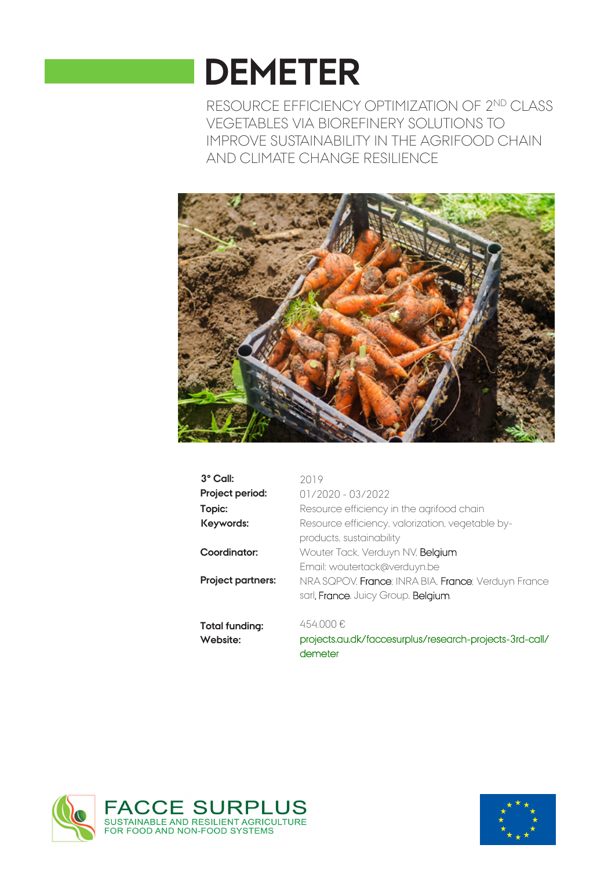# **DEMETER**

RESOURCE EFFICIENCY OPTIMIZATION OF 2ND CLASS VEGETABLES VIA BIOREFINERY SOLUTIONS TO IMPROVE SUSTAINABILITY IN THE AGRIFOOD CHAIN AND CLIMATE CHANGE RESILIENCE



| 3° Call:          | 2019                                                    |
|-------------------|---------------------------------------------------------|
| Project period:   | $01/2020 - 03/2022$                                     |
| Topic:            | Resource efficiency in the agrifood chain               |
| Keywords:         | Resource efficiency, valorization, vegetable by-        |
|                   | products, sustainability                                |
| Coordinator:      | Wouter Tack, Verduyn NV, Belgium                        |
|                   | Email: woutertack@verduyn.be                            |
| Project partners: | NRA SQPOV, France: INRA BIA, France: Verduyn France     |
|                   | sarl, France, Juicy Group, Belgium.                     |
| Total funding:    | 454.000€                                                |
| Website:          | projects.au.dk/faccesurplus/research-projects-3rd-call/ |

projects.au.dk/faccesurplus/research-projects-3rd-call/ demeter